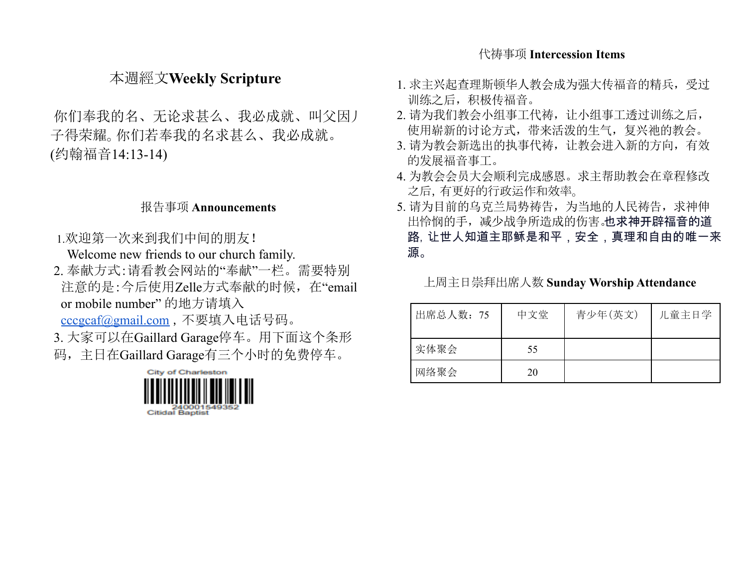#### 代祷事项 **Intercession Items**

## 本週經文**Weekly Scripture**

你们奉我的名、无论求甚么、我必成就、叫父因儿 子得荣耀。你们若奉我的名求甚么、我必成就。 (约翰福音14:13-14)

#### 报告事项 **Announcements**

1.欢迎第一次来到我们中间的朋友!

Welcome new friends to our church family.

2. 奉献方式:请看教会网站的"奉献"一栏。需要特别 注意的是:今后使用Zelle方式奉献的时候,在"email or mobile number" 的地方请填入

[cccgcaf@gmail.com](mailto:cccgcaf@gmail.com) ,不要填入电话号码。

3. 大家可以在Gaillard Garage停车。用下面这个条形 码,主日在Gaillard Garage有三个小时的免费停车。



- 1. 求主兴起查理斯顿华人教会成为强大传福音的精兵,受过 训练之后,积极传福音。
- 2. 请为我们教会小组事工代祷,让小组事工透过训练之后, 使用崭新的讨论方式,带来活泼的生气,复兴祂的教会。
- 3. 请为教会新选出的执事代祷, 让教会进入新的方向, 有效 的发展福音事工。
- 4. 为教会会员大会顺利完成感恩。求主帮助教会在章程修改 之后,有更好的行政运作和效率。
- 5. 请为目前的乌克兰局势祷告,为当地的人民祷告,求神伸 出怜悯的手,减少战争所造成的伤害。也求神开辟福音的道 路,让世人知道主耶稣是和平,安全,真理和自由的唯一来 源。

#### 上周主日崇拜出席人数 **Sunday Worship Attendance**

| 出席总人数: 75 | 中文堂 | 青少年(英文) | 儿童主日学 |
|-----------|-----|---------|-------|
| 实体聚会      | 55  |         |       |
| 网络聚会      | 20  |         |       |